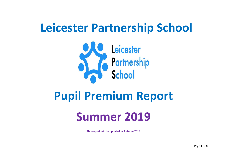# **Leicester Partnership School**



## **Pupil Premium Report**

## **Summer 2019**

**This report will be updated in Autumn 2019**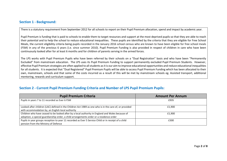#### **Section 1 - Background:**

There is a statutory requirement from September 2012 for all schools to report on their Pupil Premium allocation, spend and impact by academic year.

Pupil Premium is funding that is paid to schools to enable them to target resources and support at the most deprived pupils so that they are able to reach their potential and to help the school to reduce educational inequalities. These pupils are identified by the criteria that they are eligible for Free School Meals, the current eligibility criteria being pupils recorded in the January 2016 school census who are known to have been eligible for free school meals (FSM) in any of the previous 6 years (i.e. since summer 2010). Pupil Premium Funding is also provided in respect of children in care who have been continuously looked after for at least 6 months and for children of parents serving in the armed forces.

The LPS works with Pupil Premium Pupils who have been referred by their schools on a "Dual Registration" basis and who have been "Permanently Excluded" from mainstream education. The LPS uses its Pupil Premium Funding to support permanently excluded Pupil Premium Students. However, effective Pupil Premium strategies are often applied to all students as it is our aim to improve educational opportunities and reduce educational inequalities for all students. It is expected that "Dual Registered" Pupil Premium Pupils will be able to access Pupil Premium Funding which has been allocated to their own, mainstream, schools and that some of the costs incurred as a result of this will be met by mainstream schools eg. Assisted transport, additional mentoring, rewards and curriculum support.

| <b>Section 2 - Current Pupil Premium Funding Criteria and Number of LPS Pupil Premium Pupils:</b> |  |  |
|---------------------------------------------------------------------------------------------------|--|--|
|---------------------------------------------------------------------------------------------------|--|--|

| <b>Pupil Premium Criteria</b>                                                                                                                                                               | <b>Amount Per Annum</b> |
|---------------------------------------------------------------------------------------------------------------------------------------------------------------------------------------------|-------------------------|
| Pupils in years 7 to 11 recorded as Ever 6 FSM                                                                                                                                              | £935                    |
| Looked-after children (LAC) defined in the Children Act 1989 as one who is in the care of, or provided<br>with accommodation by, an English local authority                                 | £1.900                  |
| Children who have ceased to be looked after by a local authority in England and Wales because of<br>adoption, a special guardianship order, a child arrangements order or a residence order | £1.900                  |
| Pupils in year groups reception to year 11 recorded as Ever 5 Service Child or in receipt of a child<br>pension from the Ministry of Defence                                                | £300                    |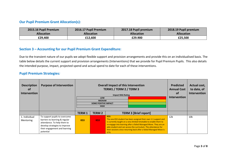#### **Our Pupil Premium Grant Allocation(s):**

| 2015.16 Pupil Premium | 2016.17 Pupil Premium | 2017.18 Pupil premium | 2018.19 Pupil premium |
|-----------------------|-----------------------|-----------------------|-----------------------|
| <b>Allocation</b>     | <b>Allocation</b>     | <b>Allocation</b>     | <b>Allocation</b>     |
| £29,400               | £12,600               | £29.900               | £25,500               |

#### **Section 3 – Accounting for our Pupil Premium Grant Expenditure:**

Due to the transient nature of our pupils we adopt flexible support and provision arrangements and provide this on an individualised basis. The table below details the current support and provision arrangements (Interventions) that we provide for Pupil Premium Pupils. This also details the intended purpose, impact, projected spend and actual spend to date for each of these interventions.

#### **Pupil Premium Strategies***:*

| <b>Description</b><br>0t<br>Intervention | <b>Purpose of Intervention</b>                                                                                                                                                | <b>Overall Impact of this Intervention</b><br>TERM1 / TERM 2 / TERM 3<br><b>Impact RAG Rating</b><br><b>LOW</b><br><b>MEDIUM</b><br><b>SOME POSITIVE IMPACT</b><br><b>HIGH</b> |                                               |                                                                                                                                                                                                                                                                                                                                                                        |  | <b>Predicted</b><br><b>Annual Cost</b><br>0t<br><b>Intervention</b> | Actual cost,<br>to date, of<br>Intervention |
|------------------------------------------|-------------------------------------------------------------------------------------------------------------------------------------------------------------------------------|--------------------------------------------------------------------------------------------------------------------------------------------------------------------------------|-----------------------------------------------|------------------------------------------------------------------------------------------------------------------------------------------------------------------------------------------------------------------------------------------------------------------------------------------------------------------------------------------------------------------------|--|---------------------------------------------------------------------|---------------------------------------------|
|                                          |                                                                                                                                                                               | <b>TERM1</b>                                                                                                                                                                   | <b>TERM 2</b><br><b>TERM 3 [Brief report]</b> |                                                                                                                                                                                                                                                                                                                                                                        |  |                                                                     |                                             |
| 1. Individual<br>Mentoring               | To support pupils to overcome<br>barriers to learning & regular<br>attendance. To help them to<br>develop strategies to improve<br>their engagement and learning<br>potential | KS3                                                                                                                                                                            | KS3                                           | <b>KS3:</b><br>The one KS3 student has been assigned their own 1:1 support and<br>is currently taught on a very limited timetable to enable them to<br>re-engage into learning after a failed Managed Move. They are an<br>able student and can access the curriculum. The attendance for<br>their sessions since returning back after a failed Managed Move is<br>67% |  | 12k                                                                 | 10k                                         |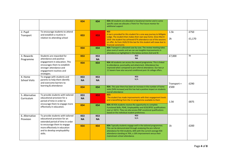|                                                                                                                                                      |                                                                                                         | KS4              | KS4                                                                                                                                                                                                                                                                 | KS4: All students are allocated a Vocational mentor and in some<br>specific cases we allocate a Think For The Future mentor for<br>additional support                                                                                                                                                               |                |                |
|------------------------------------------------------------------------------------------------------------------------------------------------------|---------------------------------------------------------------------------------------------------------|------------------|---------------------------------------------------------------------------------------------------------------------------------------------------------------------------------------------------------------------------------------------------------------------|---------------------------------------------------------------------------------------------------------------------------------------------------------------------------------------------------------------------------------------------------------------------------------------------------------------------|----------------|----------------|
| 2. Pupil<br>Transport                                                                                                                                | To encourage students to attend<br>and establish a routine in<br>relation to attending school           | KS3              | KS3                                                                                                                                                                                                                                                                 | KS3<br>A taxi is provided for this student for a one-way journey to Millgate<br>Lodge. The student then makes their own way home. Since March<br>2019 the student has achieved 67% attendance out of the sessions<br>on offer. As from 24/6/19 the taxi for this student will cease due to<br>financial constraints | 1.5k<br>2k     | £750<br>£1,170 |
|                                                                                                                                                      |                                                                                                         | KS4              | KS4                                                                                                                                                                                                                                                                 | KS4: Transport is allocated case by case. The review meeting takes<br>place every 6 weeks and we can see tangible improvements in<br>attendance as highlighted in the below sections (6,8 and 9)                                                                                                                    |                |                |
| 3. Rewards<br>Programme                                                                                                                              | Students are rewarded for<br>attendance and positive<br>engagement in education. This                   | KS3              | KS3<br><b>NA</b>                                                                                                                                                                                                                                                    | KS3<br><b>NA</b>                                                                                                                                                                                                                                                                                                    | £7,000         | 5k             |
| encourages them to establish<br>stronger attendance and<br>engagement routines and<br>strategies.                                                    | KS4                                                                                                     | KS4              | KS4: All students can access the reward programme. This is linked<br>to attendance, punctuality and attainment. Attendance has<br>improved when compared to pre-referral attendance. Our two yr<br>11 leavers have also secured conditional post-16 college offers. |                                                                                                                                                                                                                                                                                                                     |                |                |
| To engage with students and<br>4. Home<br>parents to help them identify<br><b>School Visits</b><br>and overcome barriers to<br>learning & attendance | KS3<br><b>NA</b>                                                                                        | KS3<br><b>NA</b> | KS3<br>N/A                                                                                                                                                                                                                                                          | Transport =                                                                                                                                                                                                                                                                                                         | £290           |                |
|                                                                                                                                                      |                                                                                                         | KS4              | KS4                                                                                                                                                                                                                                                                 | KS4: This year there has been an increase in the number of home<br>visits [54% increase] and this has had a positive impact on students<br>overall attendance                                                                                                                                                       | £500           |                |
| 5. Alternative<br>Curriculum                                                                                                                         | To provide students with tailored<br>educational provision for a<br>period of time in order to          |                  | KS3                                                                                                                                                                                                                                                                 | <b>KS3:</b><br>The student has made improvements with their engagement levels<br>and is benefitting from the 1:1 programme available to them                                                                                                                                                                        | 1.5K           | £875           |
| encourage them to engage more<br>effectively in education.                                                                                           | KS4                                                                                                     | KS4              | KS4: All KS4 students receive the opportunity to complete<br>Functional Skills, PSHE, Employability and GCSE/BTEC qualifications<br>over yr 10/11. They can also access RQF vocational qualifications<br>based on the individual student preference.                |                                                                                                                                                                                                                                                                                                                     |                |                |
| 6. Alternative<br>Provision                                                                                                                          | To provide students with tailored<br>educational provision for an<br>extended period of time in order   | KS3<br><b>NA</b> | KS3<br><b>NA</b>                                                                                                                                                                                                                                                    | KS3<br>N/A                                                                                                                                                                                                                                                                                                          |                |                |
|                                                                                                                                                      | to encourage them to engage<br>more effectively in education<br>and to develop employability<br>skills. | KS4              | KS4                                                                                                                                                                                                                                                                 | KS4: Typically students engage well in the tailored programmes.<br>This can be demonstrated through analysing the pre-referral<br>attendance for KS4 students, 60% with the current average KS4<br>attendance standing at 76%, a 16% improvement versus their<br>mainstream school attendance.                      | 1 <sup>k</sup> | £200           |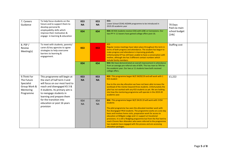| To help focus students on the<br>7. Careers<br>future and to support them to<br>Guidance<br>develop personal &<br>employability skills which |                                                                                                                                                                                                                         | KS3<br><b>NA</b> | KS3<br><b>NA</b>       | <b>KS3:</b><br>Lower School CEIAG ASDAN programme to be introduced in<br>2019.20 academic year                                                                                                                                                                                                                                                                                                                                                                                                                                                                                | 70 Days<br>Paid via main |  |  |
|----------------------------------------------------------------------------------------------------------------------------------------------|-------------------------------------------------------------------------------------------------------------------------------------------------------------------------------------------------------------------------|------------------|------------------------|-------------------------------------------------------------------------------------------------------------------------------------------------------------------------------------------------------------------------------------------------------------------------------------------------------------------------------------------------------------------------------------------------------------------------------------------------------------------------------------------------------------------------------------------------------------------------------|--------------------------|--|--|
|                                                                                                                                              | KS4                                                                                                                                                                                                                     | KS4              | school budget<br>[14k] |                                                                                                                                                                                                                                                                                                                                                                                                                                                                                                                                                                               |                          |  |  |
| 8. PSP /<br>Review<br>Meeting(s)                                                                                                             | To meet with students, parents/<br>carers & key agencies to agree<br>strategies to help overcome<br>barriers to learning &<br>engagement.                                                                               | KS3              | KS3                    | KS3<br>Regular review meetings have taken place throughout this term in<br>terms of both progress and attendance. The student has begun to<br>make progress and attendance is improving gradually.<br>Unfortunately EP has still been unable to have a conversation with<br>mother, although she has 3 different contact numbers which<br>include family members.                                                                                                                                                                                                             | Staffing cost            |  |  |
|                                                                                                                                              |                                                                                                                                                                                                                         | KS4              | KS4                    | KS4: We have demonstrated an overall improvement in attendance<br>from an average pre-referral rate of 60%. This has risen to 76% for<br>the academic year. Our two yr 11 students have both received<br>college offers.                                                                                                                                                                                                                                                                                                                                                      |                          |  |  |
| 9.Think For<br>The Future<br>Specialist<br>Group Work &<br>Mentoring<br>Programme                                                            | This programme will begin at<br>the start of half term 3 and<br>will focus on our most hard to<br>reach and disengaged KS 3 &<br>4 students. Its primary aim is<br>to reengage students in<br>learning and prepare them | KS3<br><b>NA</b> | KS3<br><b>NA</b>       | KS3: This programme began W/C 04/03/19 and will work with 1<br><b>KS3 student</b><br>Due to the one day allocation we have not been able increase the<br>workload of the mentor beyond three students. Unfortunately the<br>pilot has not worked with any KS3 students as yet. We are looking<br>into how the mentoring programme will operate in the 2019-20<br>academic year.                                                                                                                                                                                               | £1,222                   |  |  |
|                                                                                                                                              | for the transition into<br>education or post 16 years<br>provision                                                                                                                                                      | KS4<br><b>NA</b> | KS4<br><b>NA</b>       | KS4 : This programme began W/C 04.03.19 will work with 3 KS4<br>students<br>The pilot programme has seen the allocated member work with<br>five disengaged YR10 students. The programme works on a one day<br>basis and involves home visits, preparation work for access to<br>education at Millgate Lodge and 1:1 support at Vocational<br>provisions. It is still a fledgling programme but from the five hard to<br>reach Chronic Non Attenders who were referred to the programme<br>two students have engaged with the process and are accessing<br>education packages. |                          |  |  |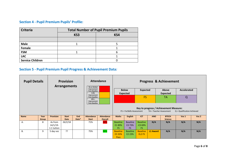### **Section 4 - Pupil Premium Pupils' Profile:**

| <b>Criteria</b>         | <b>Total Number of Pupil Premium Pupils</b> |     |  |  |  |  |  |
|-------------------------|---------------------------------------------|-----|--|--|--|--|--|
|                         | KS3                                         | KS4 |  |  |  |  |  |
|                         |                                             |     |  |  |  |  |  |
| <b>Male</b>             |                                             |     |  |  |  |  |  |
| Female                  |                                             |     |  |  |  |  |  |
| <b>FSM</b>              |                                             |     |  |  |  |  |  |
| <b>LAC</b>              |                                             |     |  |  |  |  |  |
| <b>Service Children</b> |                                             |     |  |  |  |  |  |

#### **Section 5 - Pupil Premium Pupil Progress & Achievement Data***:*

| <b>Pupil Details</b><br><b>Provision</b><br><b>Arrangements</b> |                      | No or limited                         | <b>Attendance</b>    | <b>Progress &amp; Achievement</b> |                                                                                                |                                     |                                   |                                  |                                       |                          |                                        |                              |                                 |                    |  |
|-----------------------------------------------------------------|----------------------|---------------------------------------|----------------------|-----------------------------------|------------------------------------------------------------------------------------------------|-------------------------------------|-----------------------------------|----------------------------------|---------------------------------------|--------------------------|----------------------------------------|------------------------------|---------------------------------|--------------------|--|
|                                                                 |                      |                                       |                      |                                   | Improvement<br>from Baseline<br>5-9%<br>Improvement<br>from baseline<br>$10% +$<br>Improvement |                                     |                                   |                                  |                                       | <b>Below</b><br>Expected | <b>Expected</b>                        |                              | <b>Above</b><br><b>Expected</b> | <b>Accelerated</b> |  |
|                                                                 |                      |                                       |                      |                                   |                                                                                                |                                     | <b>FS</b>                         |                                  |                                       | TA                       | $\Omega$                               |                              |                                 |                    |  |
|                                                                 |                      |                                       |                      |                                   | from Baseline                                                                                  |                                     |                                   | FS = ForSkills Assessment        |                                       | TA = Teacher Assessment  | Key to progress / Achievement Measure: | $Q =$ Qualification Achieved |                                 |                    |  |
| <b>Name</b>                                                     | Year<br><b>Group</b> | <b>Provision</b>                      | <b>Start</b><br>Date | <b>End</b><br>Date*               | <b>Attendance</b><br><b>Start</b>                                                              | <b>Attendance</b><br><b>Overall</b> | <b>Maths</b>                      | <b>English</b>                   | <b>ICT</b>                            | <b>ANO</b>               | <b>BTECH</b><br><b>Science</b>         | Voc 1                        | Voc 2                           |                    |  |
| Α.                                                              | 8                    | As from<br>$14/1/19$ -<br>1:1 tuition | 26/2/18              |                                   | 71%                                                                                            | 44%                                 | <b>Baseline</b><br>E189%<br>FS.   | <b>Baseline</b><br>E3 73%<br>FS. | <b>Baseline</b><br>-E3 69%<br>FS.     | N/A                      | N/A                                    | N/A                          | N/A                             |                    |  |
| <b>B.</b>                                                       | 9                    | 5 day voc                             | יִ                   |                                   | 75%                                                                                            | 96%                                 | <b>Baseline</b><br>E3 33%<br>Pass | <b>Baseline</b><br>E2 23%        | <b>Baseline</b><br>EL <sub>2</sub> FS | <b>L1 Award</b>          | N/A                                    | N/A                          | N/A                             |                    |  |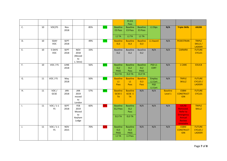|    |    |                                     |                     |                                                 |     |     |                                                      | FS EI3<br>Pass                                       |                                                             |                                            |                            |                                                                                                         |                                                   |
|----|----|-------------------------------------|---------------------|-------------------------------------------------|-----|-----|------------------------------------------------------|------------------------------------------------------|-------------------------------------------------------------|--------------------------------------------|----------------------------|---------------------------------------------------------------------------------------------------------|---------------------------------------------------|
| C. | 10 | $\overline{VOC}/FS$                 | Nov<br>2018         |                                                 | 85% | 93% | <b>Baseline</b><br>E3 Pass                           | <b>Baseline</b><br>E3 Pass                           | <b>Baseline</b><br>E3 Pass                                  | L1 Dips                                    | N/A                        | <b>Triple Skillz</b>                                                                                    | <b>AXLR8</b>                                      |
|    |    |                                     |                     |                                                 |     |     | L1 TA                                                | L1 TA                                                | L1 TA                                                       |                                            |                            |                                                                                                         |                                                   |
| D. | 10 | 5DAY<br><b>VOC</b>                  | <b>SEPT</b><br>2018 |                                                 | 49% | 72% | <b>Baseline</b><br>EL3                               | <b>Baseline</b><br>EL3                               | <b>Baseline</b><br>EL3                                      | L1 Award                                   | N/A                        | <b>PEDESTRIAN</b>                                                                                       | <b>TRIPLE</b><br>SKILLS /<br><b>LADDER</b>        |
| Ε. | 10 | 5 DAYS<br><b>VOC</b>                | <b>SEPT</b><br>2018 | <b>NOV</b><br>2018<br>(Moved<br>to<br>L.'shire) | 33% |     | <b>Baseline</b><br>EL <sub>2</sub>                   | <b>Baseline</b><br>EL <sub>2</sub>                   | <b>Baseline</b><br>EL <sub>2</sub>                          | N/A                                        | N/A                        | <b>CARWRX</b>                                                                                           | <b>FUTURE</b><br><b>CYCLES</b>                    |
| F. | 10 | VOC / FS                            | JUNE<br>2018        |                                                 | 56% | 80% | <b>Baseline</b><br>EL <sub>2</sub><br>PASS<br>EL3 TA | <b>Baseline</b><br>EL <sub>2</sub><br>Pass<br>EL3 TA | <b>Baseline</b><br>EL <sub>2</sub><br><b>PASS</b><br>EL3 TA | PSD <sub>L1</sub><br><b>CERT</b>           | N/A                        | 1 CARE                                                                                                  | EDUC8                                             |
| G. | 11 | VOC / FS                            | May<br>2018         |                                                 | 50% | 83% | <b>Baseline</b><br>L1<br>Pass                        | <b>Baseline</b><br>L1<br>Pass                        | <b>Baseline</b><br>EL3<br>Pass                              | Employ<br>L1 Cert<br><b>PSD</b><br>L1 Cert | N/A                        | <b>TRIPLE</b><br><b>SKILLZ</b>                                                                          | <b>FUTURE</b><br><b>CYCLES</b> /<br><b>LADDER</b> |
| Η. | 11 | VOC/<br>GCSE                        | JAN<br>2018         | JAN<br>2019<br>moved<br>to<br>London            | 57% | 88% | <b>Baseline</b><br><b>GCSE E</b><br><b>TA</b>        | <b>Baseline</b><br><b>GCSE E</b><br><b>TA</b>        | N/A                                                         | N/A                                        | <b>Baseline</b><br>Level 1 | <b>ESBM</b><br><b>CONSTRUCT</b><br><b>ION</b>                                                           | <b>FUTURE</b><br><b>CYCLES</b>                    |
| Ι. | 11 | $\overline{VOC}$ / 1-1<br><b>FS</b> | <b>SEPT</b><br>2018 | FEB<br>2019<br>Moved<br>to<br>Keyham<br>Lodge   | 60% | 59% | <b>Baseline</b><br>EL2 Pass<br>EL3 TA                | <b>Baseline</b><br>EL <sub>2</sub><br>Pass<br>EL3 TA | N/A                                                         | N/A                                        | N/A                        | <b>AXLR8</b><br>Removed.<br><b>Refer to</b><br><b>Emergency</b><br>Annual<br><b>Review</b><br>timetable | <b>TRIPLE</b><br><b>SKILLZ</b>                    |
| J. | 11 | VOC $/1-1$<br><b>FS</b>             | <b>NOV</b><br>2015  |                                                 | 70% | 52% | <b>Baseline</b><br>EL3<br>PASS<br>L1 TA              | <b>Baseline</b><br>EL3<br><b>PASS</b><br>L1 Pass     | N/A                                                         | N/A                                        | N/A                        | <b>ESBM</b><br><b>CONSTRUCT</b><br><b>ION</b>                                                           | <b>FUTURE</b><br><b>CYCLES</b> /<br><b>LADDER</b> |